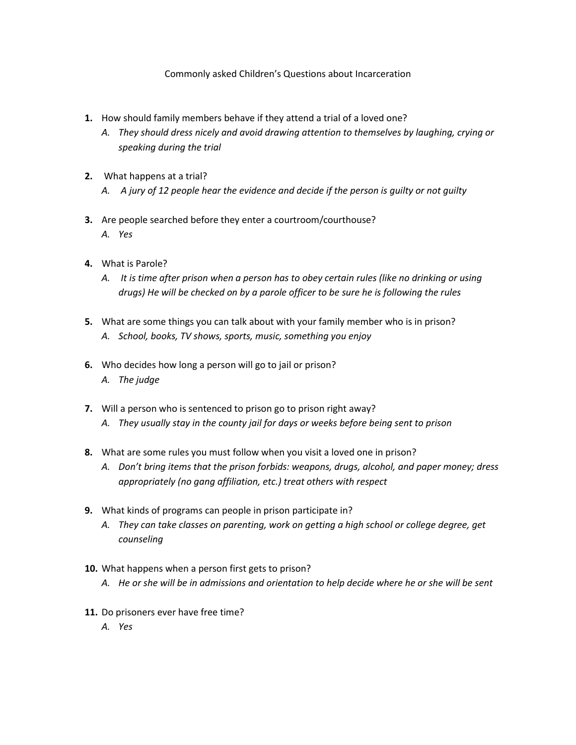## Commonly asked Children's Questions about Incarceration

- **1.** How should family members behave if they attend a trial of a loved one?
	- *A. They should dress nicely and avoid drawing attention to themselves by laughing, crying or speaking during the trial*
- **2.** What happens at a trial?
	- *A. A jury of 12 people hear the evidence and decide if the person is guilty or not guilty*
- **3.** Are people searched before they enter a courtroom/courthouse? *A. Yes*
- **4.** What is Parole?
	- *A. It is time after prison when a person has to obey certain rules (like no drinking or using drugs) He will be checked on by a parole officer to be sure he is following the rules*
- **5.** What are some things you can talk about with your family member who is in prison? *A. School, books, TV shows, sports, music, something you enjoy*
- **6.** Who decides how long a person will go to jail or prison? *A. The judge*
- **7.** Will a person who is sentenced to prison go to prison right away? *A. They usually stay in the county jail for days or weeks before being sent to prison*
- **8.** What are some rules you must follow when you visit a loved one in prison?
	- *A. Don't bring items that the prison forbids: weapons, drugs, alcohol, and paper money; dress appropriately (no gang affiliation, etc.) treat others with respect*
- **9.** What kinds of programs can people in prison participate in?
	- *A. They can take classes on parenting, work on getting a high school or college degree, get counseling*
- **10.** What happens when a person first gets to prison?
	- *A. He or she will be in admissions and orientation to help decide where he or she will be sent*
- **11.** Do prisoners ever have free time?
	- *A. Yes*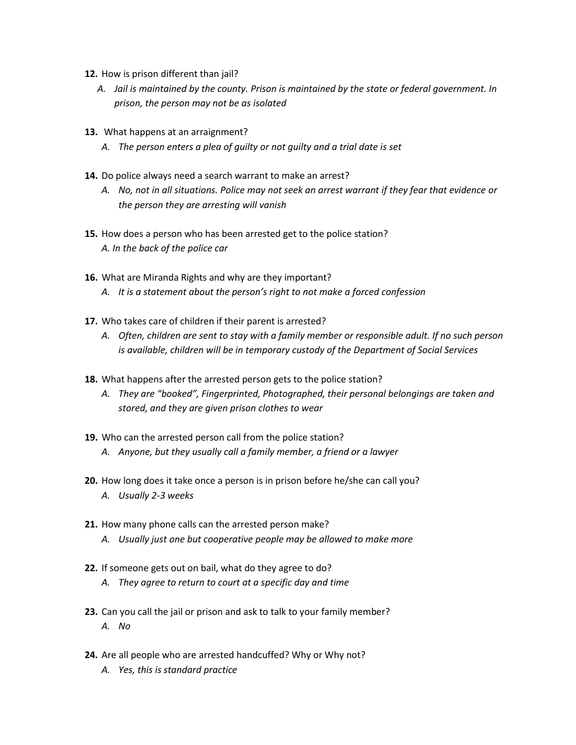- **12.** How is prison different than jail?
	- *A. Jail is maintained by the county. Prison is maintained by the state or federal government. In prison, the person may not be as isolated*
- **13.** What happens at an arraignment?
	- *A. The person enters a plea of guilty or not guilty and a trial date is set*
- **14.** Do police always need a search warrant to make an arrest?
	- *A. No, not in all situations. Police may not seek an arrest warrant if they fear that evidence or the person they are arresting will vanish*
- **15.** How does a person who has been arrested get to the police station? *A. In the back of the police car*
- **16.** What are Miranda Rights and why are they important?
	- *A. It is a statement about the person's right to not make a forced confession*
- **17.** Who takes care of children if their parent is arrested?
	- *A. Often, children are sent to stay with a family member or responsible adult. If no such person is available, children will be in temporary custody of the Department of Social Services*
- **18.** What happens after the arrested person gets to the police station?
	- *A. They are "booked", Fingerprinted, Photographed, their personal belongings are taken and stored, and they are given prison clothes to wear*
- **19.** Who can the arrested person call from the police station? *A. Anyone, but they usually call a family member, a friend or a lawyer*
- **20.** How long does it take once a person is in prison before he/she can call you? *A. Usually 2-3 weeks*
- **21.** How many phone calls can the arrested person make? *A. Usually just one but cooperative people may be allowed to make more*
- **22.** If someone gets out on bail, what do they agree to do?
	- *A. They agree to return to court at a specific day and time*
- **23.** Can you call the jail or prison and ask to talk to your family member? *A. No*
- **24.** Are all people who are arrested handcuffed? Why or Why not?
	- *A. Yes, this is standard practice*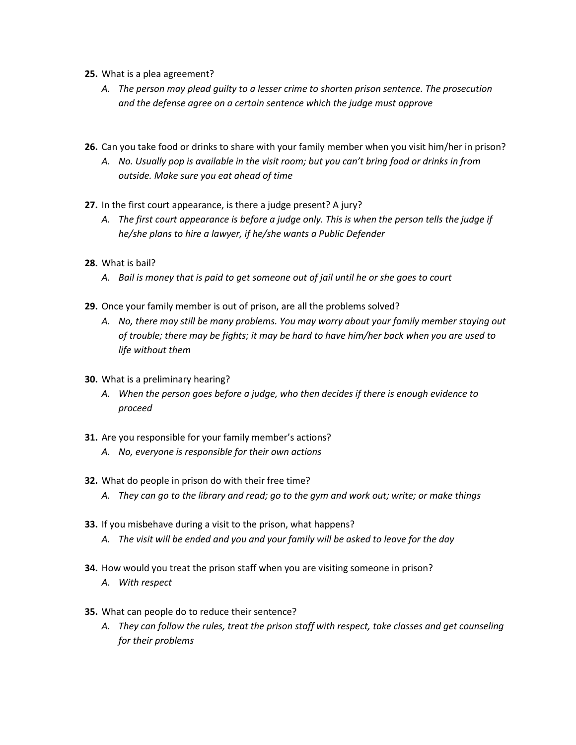- **25.** What is a plea agreement?
	- *A. The person may plead guilty to a lesser crime to shorten prison sentence. The prosecution and the defense agree on a certain sentence which the judge must approve*
- **26.** Can you take food or drinks to share with your family member when you visit him/her in prison?
	- *A. No. Usually pop is available in the visit room; but you can't bring food or drinks in from outside. Make sure you eat ahead of time*
- **27.** In the first court appearance, is there a judge present? A jury?
	- *A. The first court appearance is before a judge only. This is when the person tells the judge if he/she plans to hire a lawyer, if he/she wants a Public Defender*
- **28.** What is bail?
	- *A. Bail is money that is paid to get someone out of jail until he or she goes to court*
- **29.** Once your family member is out of prison, are all the problems solved?
	- *A. No, there may still be many problems. You may worry about your family member staying out of trouble; there may be fights; it may be hard to have him/her back when you are used to life without them*
- **30.** What is a preliminary hearing?
	- *A. When the person goes before a judge, who then decides if there is enough evidence to proceed*
- **31.** Are you responsible for your family member's actions?
	- *A. No, everyone is responsible for their own actions*
- **32.** What do people in prison do with their free time?
	- *A. They can go to the library and read; go to the gym and work out; write; or make things*
- **33.** If you misbehave during a visit to the prison, what happens? *A. The visit will be ended and you and your family will be asked to leave for the day*
- **34.** How would you treat the prison staff when you are visiting someone in prison?
	- *A. With respect*
- **35.** What can people do to reduce their sentence?
	- *A. They can follow the rules, treat the prison staff with respect, take classes and get counseling for their problems*